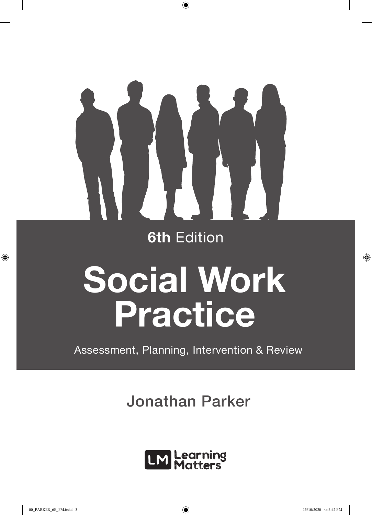## **6th** Edition

# **Social Work Practice**

Assessment, Planning, Intervention & Review

Jonathan Parker

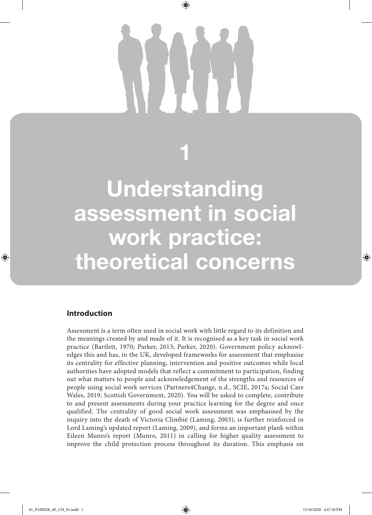# 1

**Understanding** assessment in social work practice: theoretical concerns

### **Introduction**

Assessment is a term often used in social work with little regard to its definition and the meanings created by and made of it. It is recognised as a key task in social work practice (Bartlett, 1970; Parker, 2013; Parker, 2020). Government policy acknowledges this and has, in the UK, developed frameworks for assessment that emphasise its centrality for effective planning, intervention and positive outcomes while local authorities have adopted models that reflect a commitment to participation, finding out what matters to people and acknowledgement of the strengths and resources of people using social work services (Partners4Change, n.d., SCIE, 2017a; Social Care Wales, 2019; Scottish Government, 2020). You will be asked to complete, contribute to and present assessments during your practice learning for the degree and once qualified. The centrality of good social work assessment was emphasised by the inquiry into the death of Victoria Climbié (Laming, 2003), is further reinforced in Lord Laming's updated report (Laming, 2009), and forms an important plank within Eileen Munro's report (Munro, 2011) in calling for higher quality assessment to improve the child protection process throughout its duration. This emphasis on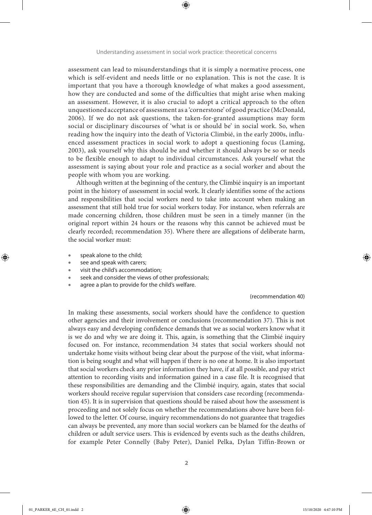assessment can lead to misunderstandings that it is simply a normative process, one which is self-evident and needs little or no explanation. This is not the case. It is important that you have a thorough knowledge of what makes a good assessment, how they are conducted and some of the difficulties that might arise when making an assessment. However, it is also crucial to adopt a critical approach to the often unquestioned acceptance of assessment as a 'cornerstone' of good practice (McDonald, 2006). If we do not ask questions, the taken-for-granted assumptions may form social or disciplinary discourses of 'what is or should be' in social work. So, when reading how the inquiry into the death of Victoria Climbié, in the early 2000s, influenced assessment practices in social work to adopt a questioning focus (Laming, 2003), ask yourself why this should be and whether it should always be so or needs to be flexible enough to adapt to individual circumstances. Ask yourself what the assessment is saying about your role and practice as a social worker and about the people with whom you are working.

Although written at the beginning of the century, the Climbié inquiry is an important point in the history of assessment in social work. It clearly identifies some of the actions and responsibilities that social workers need to take into account when making an assessment that still hold true for social workers today. For instance, when referrals are made concerning children, those children must be seen in a timely manner (in the original report within 24 hours or the reasons why this cannot be achieved must be clearly recorded; recommendation 35). Where there are allegations of deliberate harm, the social worker must:

- speak alone to the child;
- see and speak with carers;
- visit the child's accommodation:
- seek and consider the views of other professionals;
- agree a plan to provide for the child's welfare.

(recommendation 40)

In making these assessments, social workers should have the confidence to question other agencies and their involvement or conclusions (recommendation 37). This is not always easy and developing confidence demands that we as social workers know what it is we do and why we are doing it. This, again, is something that the Climbié inquiry focused on. For instance, recommendation 34 states that social workers should not undertake home visits without being clear about the purpose of the visit, what information is being sought and what will happen if there is no one at home. It is also important that social workers check any prior information they have, if at all possible, and pay strict attention to recording visits and information gained in a case file. It is recognised that these responsibilities are demanding and the Climbié inquiry, again, states that social workers should receive regular supervision that considers case recording (recommendation 45). It is in supervision that questions should be raised about how the assessment is proceeding and not solely focus on whether the recommendations above have been followed to the letter. Of course, inquiry recommendations do not guarantee that tragedies can always be prevented, any more than social workers can be blamed for the deaths of children or adult service users. This is evidenced by events such as the deaths children, for example Peter Connelly (Baby Peter), Daniel Pelka, Dylan Tiffin-Brown or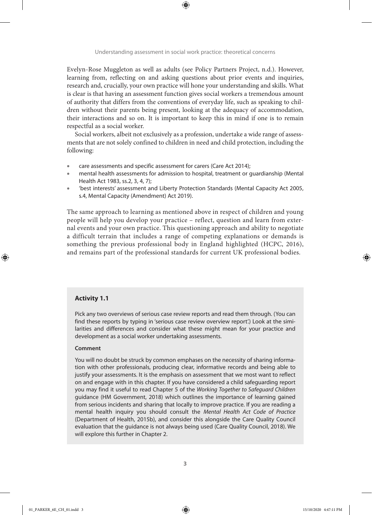Evelyn-Rose Muggleton as well as adults (see Policy Partners Project, n.d.). However, learning from, reflecting on and asking questions about prior events and inquiries, research and, crucially, your own practice will hone your understanding and skills. What is clear is that having an assessment function gives social workers a tremendous amount of authority that differs from the conventions of everyday life, such as speaking to children without their parents being present, looking at the adequacy of accommodation, their interactions and so on. It is important to keep this in mind if one is to remain respectful as a social worker.

Social workers, albeit not exclusively as a profession, undertake a wide range of assessments that are not solely confined to children in need and child protection, including the following:

- care assessments and specific assessment for carers (Care Act 2014);
- mental health assessments for admission to hospital, treatment or guardianship (Mental Health Act 1983, ss.2, 3, 4, 7);
- 'best interests' assessment and Liberty Protection Standards (Mental Capacity Act 2005, s.4, Mental Capacity (Amendment) Act 2019).

The same approach to learning as mentioned above in respect of children and young people will help you develop your practice – reflect, question and learn from external events and your own practice. This questioning approach and ability to negotiate a difficult terrain that includes a range of competing explanations or demands is something the previous professional body in England highlighted (HCPC, 2016), and remains part of the professional standards for current UK professional bodies.

### **Activity 1.1**

Pick any two overviews of serious case review reports and read them through. (You can find these reports by typing in 'serious case review overview report'.) Look at the similarities and differences and consider what these might mean for your practice and development as a social worker undertaking assessments.

### **Comment**

You will no doubt be struck by common emphases on the necessity of sharing information with other professionals, producing clear, informative records and being able to justify your assessments. It is the emphasis on assessment that we most want to reflect on and engage with in this chapter. If you have considered a child safeguarding report you may find it useful to read Chapter 5 of the *Working Together to Safeguard Children* guidance (HM Government, 2018) which outlines the importance of learning gained from serious incidents and sharing that locally to improve practice. If you are reading a mental health inquiry you should consult the *Mental Health Act Code of Practice* (Department of Health, 2015b), and consider this alongside the Care Quality Council evaluation that the guidance is not always being used (Care Quality Council, 2018). We will explore this further in Chapter 2.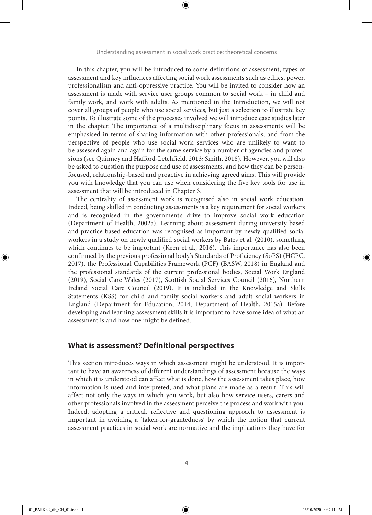In this chapter, you will be introduced to some definitions of assessment, types of assessment and key influences affecting social work assessments such as ethics, power, professionalism and anti-oppressive practice. You will be invited to consider how an assessment is made with service user groups common to social work – in child and family work, and work with adults. As mentioned in the Introduction, we will not cover all groups of people who use social services, but just a selection to illustrate key points. To illustrate some of the processes involved we will introduce case studies later in the chapter. The importance of a multidisciplinary focus in assessments will be emphasised in terms of sharing information with other professionals, and from the perspective of people who use social work services who are unlikely to want to be assessed again and again for the same service by a number of agencies and professions (see Quinney and Hafford-Letchfield, 2013; Smith, 2018). However, you will also be asked to question the purpose and use of assessments, and how they can be personfocused, relationship-based and proactive in achieving agreed aims. This will provide you with knowledge that you can use when considering the five key tools for use in assessment that will be introduced in Chapter 3.

The centrality of assessment work is recognised also in social work education. Indeed, being skilled in conducting assessments is a key requirement for social workers and is recognised in the government's drive to improve social work education (Department of Health, 2002a). Learning about assessment during university-based and practice-based education was recognised as important by newly qualified social workers in a study on newly qualified social workers by Bates et al. (2010), something which continues to be important (Keen et al., 2016). This importance has also been confirmed by the previous professional body's Standards of Proficiency (SoPS) (HCPC, 2017), the Professional Capabilities Framework (PCF) (BASW, 2018) in England and the professional standards of the current professional bodies, Social Work England (2019), Social Care Wales (2017), Scottish Social Services Council (2016), Northern Ireland Social Care Council (2019). It is included in the Knowledge and Skills Statements (KSS) for child and family social workers and adult social workers in England (Department for Education, 2014; Department of Health, 2015a). Before developing and learning assessment skills it is important to have some idea of what an assessment is and how one might be defined.

### **What is assessment? Definitional perspectives**

This section introduces ways in which assessment might be understood. It is important to have an awareness of different understandings of assessment because the ways in which it is understood can affect what is done, how the assessment takes place, how information is used and interpreted, and what plans are made as a result. This will affect not only the ways in which you work, but also how service users, carers and other professionals involved in the assessment perceive the process and work with you. Indeed, adopting a critical, reflective and questioning approach to assessment is important in avoiding a 'taken-for-grantedness' by which the notion that current assessment practices in social work are normative and the implications they have for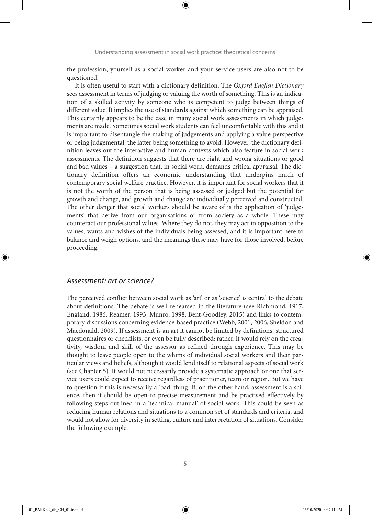the profession, yourself as a social worker and your service users are also not to be questioned.

It is often useful to start with a dictionary definition. The *Oxford English Dictionary*  sees assessment in terms of judging or valuing the worth of something. This is an indication of a skilled activity by someone who is competent to judge between things of different value. It implies the use of standards against which something can be appraised. This certainly appears to be the case in many social work assessments in which judgements are made. Sometimes social work students can feel uncomfortable with this and it is important to disentangle the making of judgements and applying a value-perspective or being judgemental, the latter being something to avoid. However, the dictionary definition leaves out the interactive and human contexts which also feature in social work assessments. The definition suggests that there are right and wrong situations or good and bad values – a suggestion that, in social work, demands critical appraisal. The dictionary definition offers an economic understanding that underpins much of contemporary social welfare practice. However, it is important for social workers that it is not the worth of the person that is being assessed or judged but the potential for growth and change, and growth and change are individually perceived and constructed. The other danger that social workers should be aware of is the application of 'judgements' that derive from our organisations or from society as a whole. These may counteract our professional values. Where they do not, they may act in opposition to the values, wants and wishes of the individuals being assessed, and it is important here to balance and weigh options, and the meanings these may have for those involved, before proceeding.

### *Assessment: art or science?*

The perceived conflict between social work as 'art' or as 'science' is central to the debate about definitions. The debate is well rehearsed in the literature (see Richmond, 1917; England, 1986; Reamer, 1993; Munro, 1998; Bent-Goodley, 2015) and links to contemporary discussions concerning evidence-based practice (Webb, 2001, 2006; Sheldon and Macdonald, 2009). If assessment is an art it cannot be limited by definitions, structured questionnaires or checklists, or even be fully described; rather, it would rely on the creativity, wisdom and skill of the assessor as refined through experience. This may be thought to leave people open to the whims of individual social workers and their particular views and beliefs, although it would lend itself to relational aspects of social work (see Chapter 5). It would not necessarily provide a systematic approach or one that service users could expect to receive regardless of practitioner, team or region. But we have to question if this is necessarily a 'bad' thing. If, on the other hand, assessment is a science, then it should be open to precise measurement and be practised effectively by following steps outlined in a 'technical manual' of social work. This could be seen as reducing human relations and situations to a common set of standards and criteria, and would not allow for diversity in setting, culture and interpretation of situations. Consider the following example.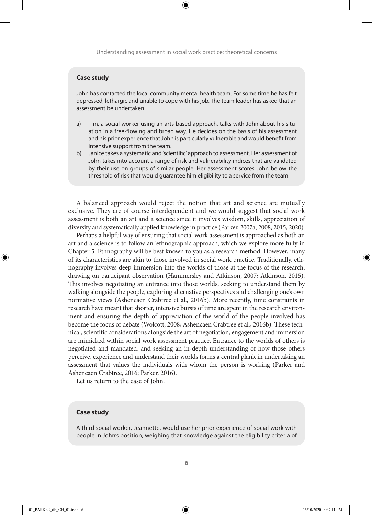### **Case study**

John has contacted the local community mental health team. For some time he has felt depressed, lethargic and unable to cope with his job. The team leader has asked that an assessment be undertaken.

- a) Tim, a social worker using an arts-based approach, talks with John about his situation in a free-flowing and broad way. He decides on the basis of his assessment and his prior experience that John is particularly vulnerable and would benefit from intensive support from the team.
- b) Janice takes a systematic and 'scientific' approach to assessment. Her assessment of John takes into account a range of risk and vulnerability indices that are validated by their use on groups of similar people. Her assessment scores John below the threshold of risk that would guarantee him eligibility to a service from the team.

A balanced approach would reject the notion that art and science are mutually exclusive. They are of course interdependent and we would suggest that social work assessment is both an art and a science since it involves wisdom, skills, appreciation of diversity and systematically applied knowledge in practice (Parker, 2007a, 2008, 2015, 2020).

Perhaps a helpful way of ensuring that social work assessment is approached as both an art and a science is to follow an 'ethnographic approach', which we explore more fully in Chapter 5. Ethnography will be best known to you as a research method. However, many of its characteristics are akin to those involved in social work practice. Traditionally, ethnography involves deep immersion into the worlds of those at the focus of the research, drawing on participant observation (Hammersley and Atkinson, 2007; Atkinson, 2015). This involves negotiating an entrance into those worlds, seeking to understand them by walking alongside the people, exploring alternative perspectives and challenging one's own normative views (Ashencaen Crabtree et al., 2016b). More recently, time constraints in research have meant that shorter, intensive bursts of time are spent in the research environment and ensuring the depth of appreciation of the world of the people involved has become the focus of debate (Wolcott, 2008; Ashencaen Crabtree et al., 2016b). These technical, scientific considerations alongside the art of negotiation, engagement and immersion are mimicked within social work assessment practice. Entrance to the worlds of others is negotiated and mandated, and seeking an in-depth understanding of how those others perceive, experience and understand their worlds forms a central plank in undertaking an assessment that values the individuals with whom the person is working (Parker and Ashencaen Crabtree, 2016; Parker, 2016).

Let us return to the case of John.

### **Case study**

A third social worker, Jeannette, would use her prior experience of social work with people in John's position, weighing that knowledge against the eligibility criteria of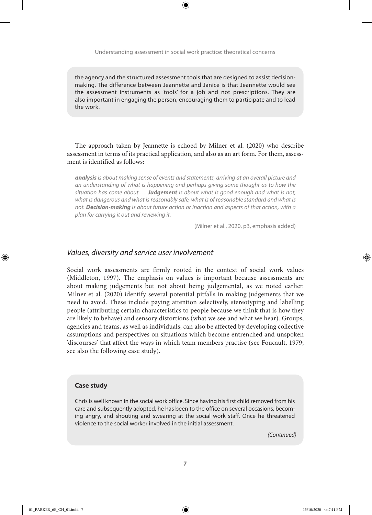the agency and the structured assessment tools that are designed to assist decisionmaking. The difference between Jeannette and Janice is that Jeannette would see the assessment instruments as 'tools' for a job and not prescriptions. They are also important in engaging the person, encouraging them to participate and to lead the work.

The approach taken by Jeannette is echoed by Milner et al. (2020) who describe assessment in terms of its practical application, and also as an art form. For them, assessment is identified as follows:

*analysis is about making sense of events and statements, arriving at an overall picture and an understanding of what is happening and perhaps giving some thought as to how the situation has come about … Judgement is about what is good enough and what is not, what is dangerous and what is reasonably safe, what is of reasonable standard and what is not. Decision-making is about future action or inaction and aspects of that action, with a plan for carrying it out and reviewing it.*

(Milner et al., 2020, p3, emphasis added)

### *Values, diversity and service user involvement*

Social work assessments are firmly rooted in the context of social work values (Middleton, 1997). The emphasis on values is important because assessments are about making judgements but not about being judgemental, as we noted earlier. Milner et al. (2020) identify several potential pitfalls in making judgements that we need to avoid. These include paying attention selectively, stereotyping and labelling people (attributing certain characteristics to people because we think that is how they are likely to behave) and sensory distortions (what we see and what we hear). Groups, agencies and teams, as well as individuals, can also be affected by developing collective assumptions and perspectives on situations which become entrenched and unspoken 'discourses' that affect the ways in which team members practise (see Foucault, 1979; see also the following case study).

### **Case study**

Chris is well known in the social work office. Since having his first child removed from his care and subsequently adopted, he has been to the office on several occasions, becoming angry, and shouting and swearing at the social work staff. Once he threatened violence to the social worker involved in the initial assessment.

*(Continued)*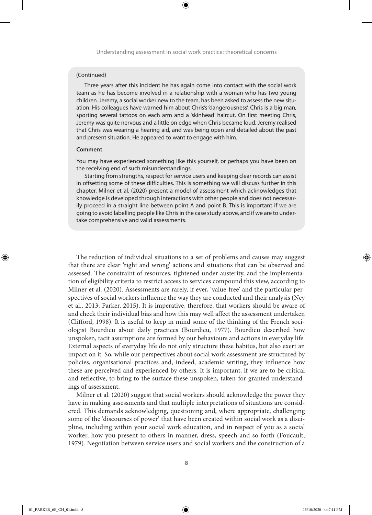### (Continued)

Three years after this incident he has again come into contact with the social work team as he has become involved in a relationship with a woman who has two young children. Jeremy, a social worker new to the team, has been asked to assess the new situation. His colleagues have warned him about Chris's 'dangerousness'. Chris is a big man, sporting several tattoos on each arm and a 'skinhead' haircut. On first meeting Chris, Jeremy was quite nervous and a little on edge when Chris became loud. Jeremy realised that Chris was wearing a hearing aid, and was being open and detailed about the past and present situation. He appeared to want to engage with him.

### **Comment**

You may have experienced something like this yourself, or perhaps you have been on the receiving end of such misunderstandings.

Starting from strengths, respect for service users and keeping clear records can assist in offsetting some of these difficulties. This is something we will discuss further in this chapter. Milner et al. (2020) present a model of assessment which acknowledges that knowledge is developed through interactions with other people and does not necessarily proceed in a straight line between point A and point B. This is important if we are going to avoid labelling people like Chris in the case study above, and if we are to undertake comprehensive and valid assessments.

The reduction of individual situations to a set of problems and causes may suggest that there are clear 'right and wrong' actions and situations that can be observed and assessed. The constraint of resources, tightened under austerity, and the implementation of eligibility criteria to restrict access to services compound this view, according to Milner et al. (2020). Assessments are rarely, if ever, 'value-free' and the particular perspectives of social workers influence the way they are conducted and their analysis (Ney et al., 2013; Parker, 2015). It is imperative, therefore, that workers should be aware of and check their individual bias and how this may well affect the assessment undertaken (Clifford, 1998). It is useful to keep in mind some of the thinking of the French sociologist Bourdieu about daily practices (Bourdieu, 1977). Bourdieu described how unspoken, tacit assumptions are formed by our behaviours and actions in everyday life. External aspects of everyday life do not only structure these habitus, but also exert an impact on it. So, while our perspectives about social work assessment are structured by policies, organisational practices and, indeed, academic writing, they influence how these are perceived and experienced by others. It is important, if we are to be critical and reflective, to bring to the surface these unspoken, taken-for-granted understandings of assessment.

Milner et al. (2020) suggest that social workers should acknowledge the power they have in making assessments and that multiple interpretations of situations are considered. This demands acknowledging, questioning and, where appropriate, challenging some of the 'discourses of power' that have been created within social work as a discipline, including within your social work education, and in respect of you as a social worker, how you present to others in manner, dress, speech and so forth (Foucault, 1979). Negotiation between service users and social workers and the construction of a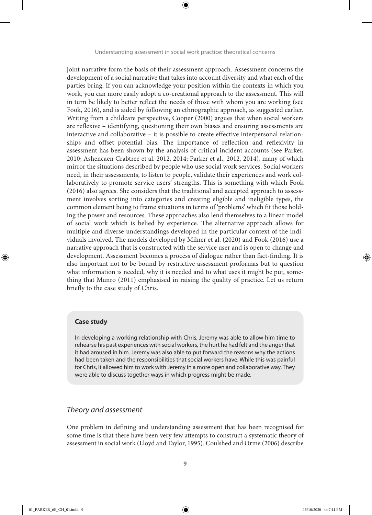joint narrative form the basis of their assessment approach. Assessment concerns the development of a social narrative that takes into account diversity and what each of the parties bring. If you can acknowledge your position within the contexts in which you work, you can more easily adopt a co-creational approach to the assessment. This will in turn be likely to better reflect the needs of those with whom you are working (see Fook, 2016), and is aided by following an ethnographic approach, as suggested earlier. Writing from a childcare perspective, Cooper (2000) argues that when social workers are reflexive – identifying, questioning their own biases and ensuring assessments are interactive and collaborative – it is possible to create effective interpersonal relationships and offset potential bias. The importance of reflection and reflexivity in assessment has been shown by the analysis of critical incident accounts (see Parker, 2010; Ashencaen Crabtree et al. 2012, 2014; Parker et al., 2012, 2014), many of which mirror the situations described by people who use social work services. Social workers need, in their assessments, to listen to people, validate their experiences and work collaboratively to promote service users' strengths. This is something with which Fook (2016) also agrees. She considers that the traditional and accepted approach to assessment involves sorting into categories and creating eligible and ineligible types, the common element being to frame situations in terms of 'problems' which fit those holding the power and resources. These approaches also lend themselves to a linear model of social work which is belied by experience. The alternative approach allows for multiple and diverse understandings developed in the particular context of the individuals involved. The models developed by Milner et al. (2020) and Fook (2016) use a narrative approach that is constructed with the service user and is open to change and development. Assessment becomes a process of dialogue rather than fact-finding. It is also important not to be bound by restrictive assessment proformas but to question what information is needed, why it is needed and to what uses it might be put, something that Munro (2011) emphasised in raising the quality of practice. Let us return briefly to the case study of Chris.

### **Case study**

In developing a working relationship with Chris, Jeremy was able to allow him time to rehearse his past experiences with social workers, the hurt he had felt and the anger that it had aroused in him. Jeremy was also able to put forward the reasons why the actions had been taken and the responsibilities that social workers have. While this was painful for Chris, it allowed him to work with Jeremy in a more open and collaborative way. They were able to discuss together ways in which progress might be made.

### *Theory and assessment*

One problem in defining and understanding assessment that has been recognised for some time is that there have been very few attempts to construct a systematic theory of assessment in social work (Lloyd and Taylor, 1995). Coulshed and Orme (2006) describe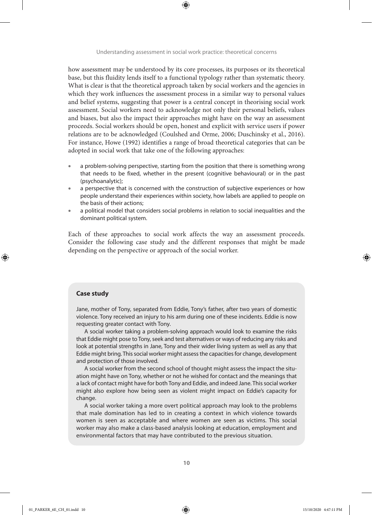how assessment may be understood by its core processes, its purposes or its theoretical base, but this fluidity lends itself to a functional typology rather than systematic theory. What is clear is that the theoretical approach taken by social workers and the agencies in which they work influences the assessment process in a similar way to personal values and belief systems, suggesting that power is a central concept in theorising social work assessment. Social workers need to acknowledge not only their personal beliefs, values and biases, but also the impact their approaches might have on the way an assessment proceeds. Social workers should be open, honest and explicit with service users if power relations are to be acknowledged (Coulshed and Orme, 2006; Duschinsky et al., 2016). For instance, Howe (1992) identifies a range of broad theoretical categories that can be adopted in social work that take one of the following approaches:

- a problem-solving perspective, starting from the position that there is something wrong that needs to be fixed, whether in the present (cognitive behavioural) or in the past (psychoanalytic);
- a perspective that is concerned with the construction of subjective experiences or how people understand their experiences within society, how labels are applied to people on the basis of their actions;
- a political model that considers social problems in relation to social inequalities and the dominant political system.

Each of these approaches to social work affects the way an assessment proceeds. Consider the following case study and the different responses that might be made depending on the perspective or approach of the social worker.

### **Case study**

Jane, mother of Tony, separated from Eddie, Tony's father, after two years of domestic violence. Tony received an injury to his arm during one of these incidents. Eddie is now requesting greater contact with Tony.

A social worker taking a problem-solving approach would look to examine the risks that Eddie might pose to Tony, seek and test alternatives or ways of reducing any risks and look at potential strengths in Jane, Tony and their wider living system as well as any that Eddie might bring. This social worker might assess the capacities for change, development and protection of those involved.

A social worker from the second school of thought might assess the impact the situation might have on Tony, whether or not he wished for contact and the meanings that a lack of contact might have for both Tony and Eddie, and indeed Jane. This social worker might also explore how being seen as violent might impact on Eddie's capacity for change.

A social worker taking a more overt political approach may look to the problems that male domination has led to in creating a context in which violence towards women is seen as acceptable and where women are seen as victims. This social worker may also make a class-based analysis looking at education, employment and environmental factors that may have contributed to the previous situation.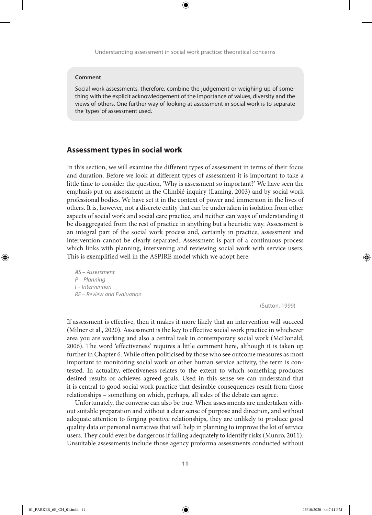### **Comment**

Social work assessments, therefore, combine the judgement or weighing up of something with the explicit acknowledgement of the importance of values, diversity and the views of others. One further way of looking at assessment in social work is to separate the 'types' of assessment used.

### **Assessment types in social work**

In this section, we will examine the different types of assessment in terms of their focus and duration. Before we look at different types of assessment it is important to take a little time to consider the question, 'Why is assessment so important?' We have seen the emphasis put on assessment in the Climbié inquiry (Laming, 2003) and by social work professional bodies. We have set it in the context of power and immersion in the lives of others. It is, however, not a discrete entity that can be undertaken in isolation from other aspects of social work and social care practice, and neither can ways of understanding it be disaggregated from the rest of practice in anything but a heuristic way. Assessment is an integral part of the social work process and, certainly in practice, assessment and intervention cannot be clearly separated. Assessment is part of a continuous process which links with planning, intervening and reviewing social work with service users. This is exemplified well in the ASPIRE model which we adopt here:

*AS – Assessment P – Planning I – Intervention RE – Review and Evaluation*

(Sutton, 1999)

If assessment is effective, then it makes it more likely that an intervention will succeed (Milner et al., 2020). Assessment is the key to effective social work practice in whichever area you are working and also a central task in contemporary social work (McDonald, 2006). The word 'effectiveness' requires a little comment here, although it is taken up further in Chapter 6. While often politicised by those who see outcome measures as most important to monitoring social work or other human service activity, the term is contested. In actuality, effectiveness relates to the extent to which something produces desired results or achieves agreed goals. Used in this sense we can understand that it is central to good social work practice that desirable consequences result from those relationships – something on which, perhaps, all sides of the debate can agree.

Unfortunately, the converse can also be true. When assessments are undertaken without suitable preparation and without a clear sense of purpose and direction, and without adequate attention to forging positive relationships, they are unlikely to produce good quality data or personal narratives that will help in planning to improve the lot of service users. They could even be dangerous if failing adequately to identify risks (Munro, 2011). Unsuitable assessments include those agency proforma assessments conducted without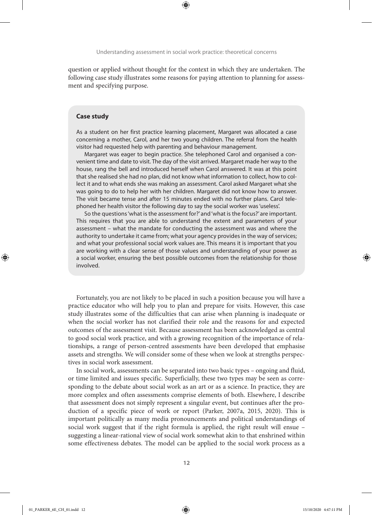question or applied without thought for the context in which they are undertaken. The following case study illustrates some reasons for paying attention to planning for assessment and specifying purpose.

### **Case study**

As a student on her first practice learning placement, Margaret was allocated a case concerning a mother, Carol, and her two young children. The referral from the health visitor had requested help with parenting and behaviour management.

Margaret was eager to begin practice. She telephoned Carol and organised a convenient time and date to visit. The day of the visit arrived. Margaret made her way to the house, rang the bell and introduced herself when Carol answered. It was at this point that she realised she had no plan, did not know what information to collect, how to collect it and to what ends she was making an assessment. Carol asked Margaret what she was going to do to help her with her children. Margaret did not know how to answer. The visit became tense and after 15 minutes ended with no further plans. Carol telephoned her health visitor the following day to say the social worker was 'useless'.

So the questions 'what is the assessment for?' and 'what is the focus?' are important. This requires that you are able to understand the extent and parameters of your assessment – what the mandate for conducting the assessment was and where the authority to undertake it came from; what your agency provides in the way of services; and what your professional social work values are. This means it is important that you are working with a clear sense of those values and understanding of your power as a social worker, ensuring the best possible outcomes from the relationship for those involved.

Fortunately, you are not likely to be placed in such a position because you will have a practice educator who will help you to plan and prepare for visits. However, this case study illustrates some of the difficulties that can arise when planning is inadequate or when the social worker has not clarified their role and the reasons for and expected outcomes of the assessment visit. Because assessment has been acknowledged as central to good social work practice, and with a growing recognition of the importance of relationships, a range of person-centred assesments have been developed that emphasise assets and strengths. We will consider some of these when we look at strengths perspectives in social work assessment.

In social work, assessments can be separated into two basic types – ongoing and fluid, or time limited and issues specific. Superficially, these two types may be seen as corresponding to the debate about social work as an art or as a science. In practice, they are more complex and often assessments comprise elements of both. Elsewhere, I describe that assessment does not simply represent a singular event, but continues after the production of a specific piece of work or report (Parker, 2007a, 2015, 2020). This is important politically as many media pronouncements and political understandings of social work suggest that if the right formula is applied, the right result will ensue – suggesting a linear-rational view of social work somewhat akin to that enshrined within some effectiveness debates. The model can be applied to the social work process as a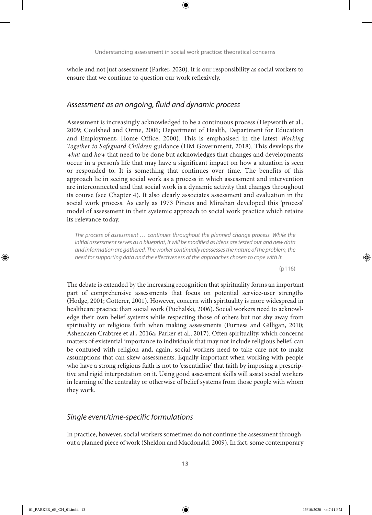whole and not just assessment (Parker, 2020). It is our responsibility as social workers to ensure that we continue to question our work reflexively.

### *Assessment as an ongoing, fluid and dynamic process*

Assessment is increasingly acknowledged to be a continuous process (Hepworth et al., 2009; Coulshed and Orme, 2006; Department of Health, Department for Education and Employment, Home Office, 2000). This is emphasised in the latest *Working Together to Safeguard Children* guidance (HM Government, 2018). This develops the *what* and *how* that need to be done but acknowledges that changes and developments occur in a person's life that may have a significant impact on how a situation is seen or responded to. It is something that continues over time. The benefits of this approach lie in seeing social work as a process in which assessment and intervention are interconnected and that social work is a dynamic activity that changes throughout its course (see Chapter 4). It also clearly associates assessment and evaluation in the social work process. As early as 1973 Pincus and Minahan developed this 'process' model of assessment in their systemic approach to social work practice which retains its relevance today.

*The process of assessment … continues throughout the planned change process. While the initial assessment serves as a blueprint, it will be modified as ideas are tested out and new data and information are gathered. The worker continually reassesses the nature of the problem, the need for supporting data and the effectiveness of the approaches chosen to cope with it.*

(p116)

The debate is extended by the increasing recognition that spirituality forms an important part of comprehensive assessments that focus on potential service-user strengths (Hodge, 2001; Gotterer, 2001). However, concern with spirituality is more widespread in healthcare practice than social work (Puchalski, 2006). Social workers need to acknowledge their own belief systems while respecting those of others but not shy away from spirituality or religious faith when making assessments (Furness and Gilligan, 2010; Ashencaen Crabtree et al., 2016a; Parker et al., 2017). Often spirituality, which concerns matters of existential importance to individuals that may not include religious belief, can be confused with religion and, again, social workers need to take care not to make assumptions that can skew assessments. Equally important when working with people who have a strong religious faith is not to 'essentialise' that faith by imposing a prescriptive and rigid interpretation on it. Using good assessment skills will assist social workers in learning of the centrality or otherwise of belief systems from those people with whom they work.

### *Single event/time-specific formulations*

In practice, however, social workers sometimes do not continue the assessment throughout a planned piece of work (Sheldon and Macdonald, 2009). In fact, some contemporary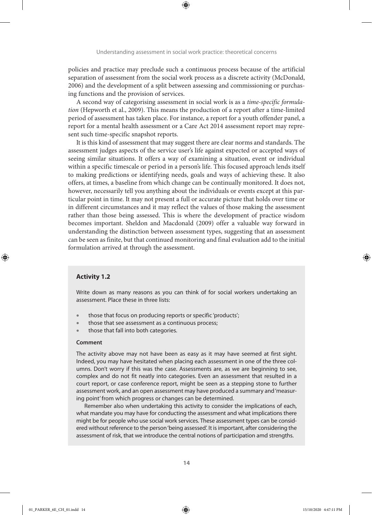policies and practice may preclude such a continuous process because of the artificial separation of assessment from the social work process as a discrete activity (McDonald, 2006) and the development of a split between assessing and commissioning or purchasing functions and the provision of services.

A second way of categorising assessment in social work is as a *time-specific formulation* (Hepworth et al., 2009). This means the production of a report after a time-limited period of assessment has taken place. For instance, a report for a youth offender panel, a report for a mental health assessment or a Care Act 2014 assessment report may represent such time-specific snapshot reports.

It is this kind of assessment that may suggest there are clear norms and standards. The assessment judges aspects of the service user's life against expected or accepted ways of seeing similar situations. It offers a way of examining a situation, event or individual within a specific timescale or period in a person's life. This focused approach lends itself to making predictions or identifying needs, goals and ways of achieving these. It also offers, at times, a baseline from which change can be continually monitored. It does not, however, necessarily tell you anything about the individuals or events except at this particular point in time. It may not present a full or accurate picture that holds over time or in different circumstances and it may reflect the values of those making the assessment rather than those being assessed. This is where the development of practice wisdom becomes important. Sheldon and Macdonald (2009) offer a valuable way forward in understanding the distinction between assessment types, suggesting that an assessment can be seen as finite, but that continued monitoring and final evaluation add to the initial formulation arrived at through the assessment.

### **Activity 1.2**

Write down as many reasons as you can think of for social workers undertaking an assessment. Place these in three lists:

- those that focus on producing reports or specific 'products';
- those that see assessment as a continuous process;
- those that fall into both categories.

### **Comment**

The activity above may not have been as easy as it may have seemed at first sight. Indeed, you may have hesitated when placing each assessment in one of the three columns. Don't worry if this was the case. Assessments are, as we are beginning to see, complex and do not fit neatly into categories. Even an assessment that resulted in a court report, or case conference report, might be seen as a stepping stone to further assessment work, and an open assessment may have produced a summary and 'measuring point' from which progress or changes can be determined.

Remember also when undertaking this activity to consider the implications of each, what mandate you may have for conducting the assessment and what implications there might be for people who use social work services. These assessment types can be considered without reference to the person 'being assessed'. It is important, after considering the assessment of risk, that we introduce the central notions of participation amd strengths.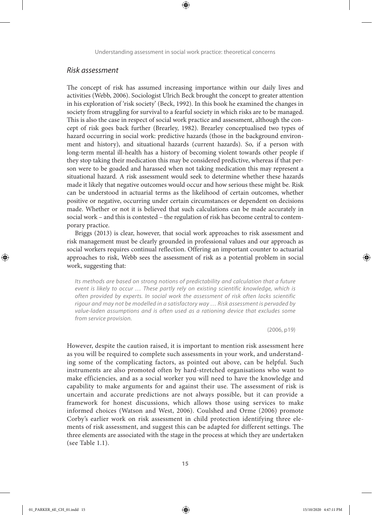### *Risk assessment*

The concept of risk has assumed increasing importance within our daily lives and activities (Webb, 2006). Sociologist Ulrich Beck brought the concept to greater attention in his exploration of 'risk society' (Beck, 1992). In this book he examined the changes in society from struggling for survival to a fearful society in which risks are to be managed. This is also the case in respect of social work practice and assessment, although the concept of risk goes back further (Brearley, 1982). Brearley conceptualised two types of hazard occurring in social work: predictive hazards (those in the background environment and history), and situational hazards (current hazards). So, if a person with long-term mental ill-health has a history of becoming violent towards other people if they stop taking their medication this may be considered predictive, whereas if that person were to be goaded and harassed when not taking medication this may represent a situational hazard. A risk assessment would seek to determine whether these hazards made it likely that negative outcomes would occur and how serious these might be. Risk can be understood in actuarial terms as the likelihood of certain outcomes, whether positive or negative, occurring under certain circumstances or dependent on decisions made. Whether or not it is believed that such calculations can be made accurately in social work – and this is contested – the regulation of risk has become central to contemporary practice.

Briggs (2013) is clear, however, that social work approaches to risk assessment and risk management must be clearly grounded in professional values and our approach as social workers requires continual reflection. Offering an important counter to actuarial approaches to risk, Webb sees the assessment of risk as a potential problem in social work, suggesting that:

*Its methods are based on strong notions of predictability and calculation that a future event is likely to occur … These partly rely on existing scientific knowledge, which is often provided by experts. In social work the assessment of risk often lacks scientific rigour and may not be modelled in a satisfactory way … Risk assessment is pervaded by value-laden assumptions and is often used as a rationing device that excludes some from service provision.*

(2006, p19)

However, despite the caution raised, it is important to mention risk assessment here as you will be required to complete such assessments in your work, and understanding some of the complicating factors, as pointed out above, can be helpful. Such instruments are also promoted often by hard-stretched organisations who want to make efficiencies, and as a social worker you will need to have the knowledge and capability to make arguments for and against their use. The assessment of risk is uncertain and accurate predictions are not always possible, but it can provide a framework for honest discussions, which allows those using services to make informed choices (Watson and West, 2006). Coulshed and Orme (2006) promote Corby's earlier work on risk assessment in child protection identifying three elements of risk assessment, and suggest this can be adapted for different settings. The three elements are associated with the stage in the process at which they are undertaken (see Table 1.1).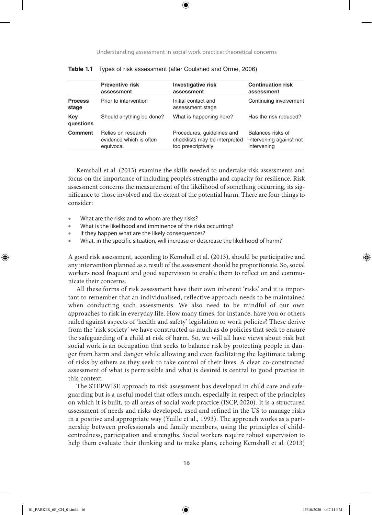|                         | <b>Preventive risk</b>   | <b>Investigative risk</b>               | <b>Continuation risk</b> |
|-------------------------|--------------------------|-----------------------------------------|--------------------------|
|                         | assessment               | assessment                              | assessment               |
| <b>Process</b><br>stage | Prior to intervention    | Initial contact and<br>assessment stage | Continuing involvement   |
| Key<br>questions        | Should anything be done? | What is happening here?                 | Has the risk reduced?    |
| <b>Comment</b>          | Relies on research       | Procedures, guidelines and              | Balances risks of        |
|                         | evidence which is often  | checklists may be interpreted           | intervening against not  |
|                         | equivocal                | too prescriptively                      | intervening              |

**Table 1.1** Types of risk assessment (after Coulshed and Orme, 2006)

Kemshall et al. (2013) examine the skills needed to undertake risk assessments and focus on the importance of including people's strengths and capacity for resilience. Risk assessment concerns the measurement of the likelihood of something occurring, its significance to those involved and the extent of the potential harm. There are four things to consider:

- What are the risks and to whom are they risks?
- What is the likelihood and imminence of the risks occurring?
- If they happen what are the likely consequences?
- What, in the specific situation, will increase or descrease the likelihood of harm?

A good risk assessment, according to Kemshall et al. (2013), should be participative and any intervention planned as a result of the assessment should be proportionate. So, social workers need frequent and good supervision to enable them to reflect on and communicate their concerns.

All these forms of risk assessment have their own inherent 'risks' and it is important to remember that an individualised, reflective approach needs to be maintained when conducting such assessments. We also need to be mindful of our own approaches to risk in everyday life. How many times, for instance, have you or others railed against aspects of 'health and safety' legislation or work policies? These derive from the 'risk society' we have constructed as much as do policies that seek to ensure the safeguarding of a child at risk of harm. So, we will all have views about risk but social work is an occupation that seeks to balance risk by protecting people in danger from harm and danger while allowing and even facilitating the legitimate taking of risks by others as they seek to take control of their lives. A clear co-constructed assessment of what is permissible and what is desired is central to good practice in this context.

The STEPWISE approach to risk assessment has developed in child care and safeguarding but is a useful model that offers much, especially in respect of the principles on which it is built, to all areas of social work practice (ISCP, 2020). It is a structured assessment of needs and risks developed, used and refined in the US to manage risks in a positive and appropriate way (Yuille et al., 1993). The approach works as a partnership between professionals and family members, using the principles of childcentredness, participation and strengths. Social workers require robust supervision to help them evaluate their thinking and to make plans, echoing Kemshall et al. (2013)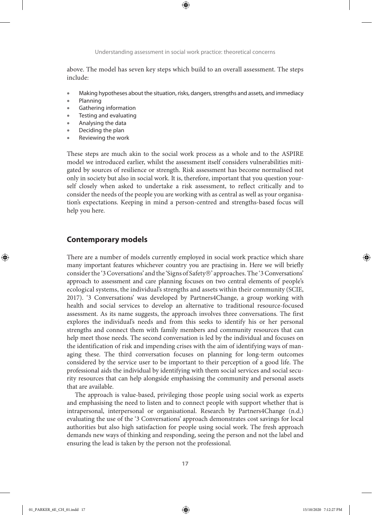above. The model has seven key steps which build to an overall assessment. The steps include:

- Making hypotheses about the situation, risks, dangers, strengths and assets, and immediacy
- Planning
- Gathering information
- Testing and evaluating
- Analysing the data
- Deciding the plan
- Reviewing the work

These steps are much akin to the social work process as a whole and to the ASPIRE model we introduced earlier, whilst the assessment itself considers vulnerabilities mitigated by sources of resilience or strength. Risk assessment has become normalised not only in society but also in social work. It is, therefore, important that you question yourself closely when asked to undertake a risk assessment, to reflect critically and to consider the needs of the people you are working with as central as well as your organisation's expectations. Keeping in mind a person-centred and strengths-based focus will help you here.

### **Contemporary models**

There are a number of models currently employed in social work practice which share many important features whichever country you are practising in. Here we will briefly consider the '3 Coversations' and the 'Signs of Safety®' approaches. The '3 Conversations' approach to assessment and care planning focuses on two central elements of people's ecological systems, the individual's strengths and assets within their community (SCIE, 2017). '3 Conversations' was developed by Partners4Change, a group working with health and social services to develop an alternative to traditional resource-focused assessment. As its name suggests, the approach involves three conversations. The first explores the individual's needs and from this seeks to identify his or her personal strengths and connect them with family members and community resources that can help meet those needs. The second conversation is led by the individual and focuses on the identification of risk and impending crises with the aim of identifying ways of managing these. The third conversation focuses on planning for long-term outcomes considered by the service user to be important to their perception of a good life. The professional aids the individual by identifying with them social services and social security resources that can help alongside emphasising the community and personal assets that are available.

The approach is value-based, privileging those people using social work as experts and emphasising the need to listen and to connect people with support whether that is intrapersonal, interpersonal or organisational. Research by Partners4Change (n.d.) evaluating the use of the '3 Conversations' approach demonstrates cost savings for local authorities but also high satisfaction for people using social work. The fresh approach demands new ways of thinking and responding, seeing the person and not the label and ensuring the lead is taken by the person not the professional.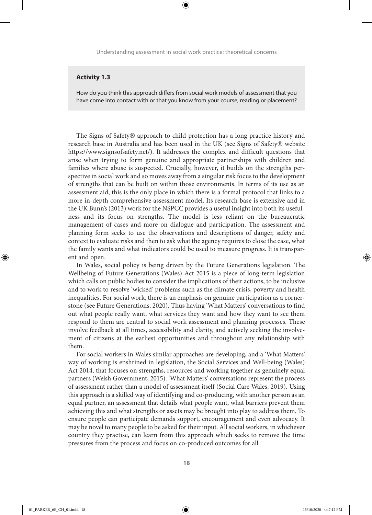### **Activity 1.3**

How do you think this approach differs from social work models of assessment that you have come into contact with or that you know from your course, reading or placement?

The Signs of Safety® approach to child protection has a long practice history and research base in Australia and has been used in the UK (see Signs of Safety® website [https://www.signsofsafety.net/\)](https://www.signsofsafety.net/). It addresses the complex and difficult questions that arise when trying to form genuine and appropriate partnerships with children and families where abuse is suspected. Crucially, however, it builds on the strengths perspective in social work and so moves away from a singular risk focus to the development of strengths that can be built on within those environments. In terms of its use as an assessment aid, this is the only place in which there is a formal protocol that links to a more in-depth comprehensive assessment model. Its research base is extensive and in the UK Bunn's (2013) work for the NSPCC provides a useful insight into both its usefulness and its focus on strengths. The model is less reliant on the bureaucratic management of cases and more on dialogue and participation. The assessment and planning form seeks to use the observations and descriptions of danger, safety and context to evaluate risks and then to ask what the agency requires to close the case, what the family wants and what indicators could be used to measure progress. It is transparent and open.

In Wales, social policy is being driven by the Future Generations legislation. The Wellbeing of Future Generations (Wales) Act 2015 is a piece of long-term legislation which calls on public bodies to consider the implications of their actions, to be inclusive and to work to resolve 'wicked' problems such as the climate crisis, poverty and health inequalities. For social work, there is an emphasis on genuine participation as a cornerstone (see Future Generations, 2020). Thus having 'What Matters' conversations to find out what people really want, what services they want and how they want to see them respond to them are central to social work assessment and planning processes. These involve feedback at all times, accessibility and clarity, and actively seeking the involvement of citizens at the earliest opportunities and throughout any relationship with them.

For social workers in Wales similar approaches are developing, and a 'What Matters' way of working is enshrined in legislation, the Social Services and Well-being (Wales) Act 2014, that focuses on strengths, resources and working together as genuinely equal partners (Welsh Government, 2015). 'What Matters' conversations represent the process of assessment rather than a model of assessment itself (Social Care Wales, 2019). Using this approach is a skilled way of identifying and co-producing, with another person as an equal partner, an assessment that details what people want, what barriers prevent them achieving this and what strengths or assets may be brought into play to address them. To ensure people can participate demands support, encouragement and even advocacy. It may be novel to many people to be asked for their input. All social workers, in whichever country they practise, can learn from this approach which seeks to remove the time pressures from the process and focus on co-produced outcomes for all.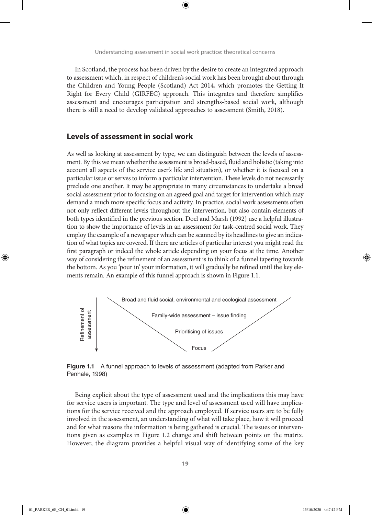In Scotland, the process has been driven by the desire to create an integrated approach to assessment which, in respect of children's social work has been brought about through the Children and Young People (Scotland) Act 2014, which promotes the Getting It Right for Every Child (GIRFEC) approach. This integrates and therefore simplifies assessment and encourages participation and strengths-based social work, although there is still a need to develop validated approaches to assessment (Smith, 2018).

### **Levels of assessment in social work**

As well as looking at assessment by type, we can distinguish between the levels of assessment. By this we mean whether the assessment is broad-based, fluid and holistic (taking into account all aspects of the service user's life and situation), or whether it is focused on a particular issue or serves to inform a particular intervention. These levels do not necessarily preclude one another. It may be appropriate in many circumstances to undertake a broad social assessment prior to focusing on an agreed goal and target for intervention which may demand a much more specific focus and activity. In practice, social work assessments often not only reflect different levels throughout the intervention, but also contain elements of both types identified in the previous section. Doel and Marsh (1992) use a helpful illustration to show the importance of levels in an assessment for task-centred social work. They employ the example of a newspaper which can be scanned by its headlines to give an indication of what topics are covered. If there are articles of particular interest you might read the first paragraph or indeed the whole article depending on your focus at the time. Another way of considering the refinement of an assessment is to think of a funnel tapering towards the bottom. As you 'pour in' your information, it will gradually be refined until the key elements remain. An example of this funnel approach is shown in Figure 1.1.



**Figure 1.1** A funnel approach to levels of assessment (adapted from Parker and Penhale, 1998)

Being explicit about the type of assessment used and the implications this may have for service users is important. The type and level of assessment used will have implications for the service received and the approach employed. If service users are to be fully involved in the assessment, an understanding of what will take place, how it will proceed and for what reasons the information is being gathered is crucial. The issues or interventions given as examples in Figure 1.2 change and shift between points on the matrix. However, the diagram provides a helpful visual way of identifying some of the key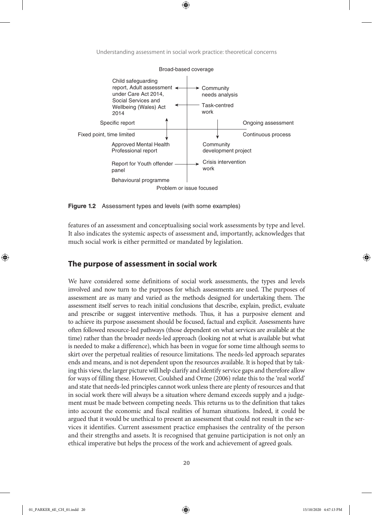

**Figure 1.2** Assessment types and levels (with some examples)

features of an assessment and conceptualising social work assessments by type and level. It also indicates the systemic aspects of assessment and, importantly, acknowledges that much social work is either permitted or mandated by legislation.

### **The purpose of assessment in social work**

We have considered some definitions of social work assessments, the types and levels involved and now turn to the purposes for which assessments are used. The purposes of assessment are as many and varied as the methods designed for undertaking them. The assessment itself serves to reach initial conclusions that describe, explain, predict, evaluate and prescribe or suggest interventive methods. Thus, it has a purposive element and to achieve its purpose assessment should be focused, factual and explicit. Assessments have often followed resource-led pathways (those dependent on what services are available at the time) rather than the broader needs-led approach (looking not at what is available but what is needed to make a difference), which has been in vogue for some time although seems to skirt over the perpetual realities of resource limitations. The needs-led approach separates ends and means, and is not dependent upon the resources available. It is hoped that by taking this view, the larger picture will help clarify and identify service gaps and therefore allow for ways of filling these. However, Coulshed and Orme (2006) relate this to the 'real world' and state that needs-led principles cannot work unless there are plenty of resources and that in social work there will always be a situation where demand exceeds supply and a judgement must be made between competing needs. This returns us to the definition that takes into account the economic and fiscal realities of human situations. Indeed, it could be argued that it would be unethical to present an assessment that could not result in the services it identifies. Current assessment practice emphasises the centrality of the person and their strengths and assets. It is recognised that genuine participation is not only an ethical imperative but helps the process of the work and achievement of agreed goals.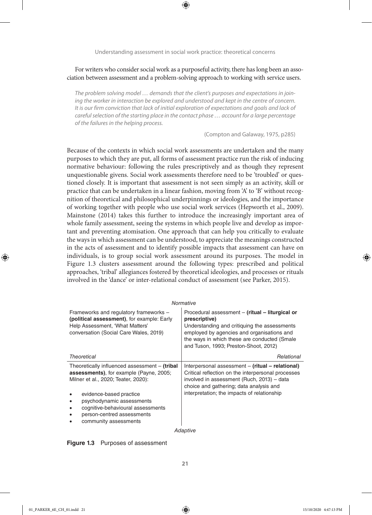### For writers who consider social work as a purposeful activity, there has long been an association between assessment and a problem-solving approach to working with service users.

*The problem solving model … demands that the client's purposes and expectations in joining the worker in interaction be explored and understood and kept in the centre of concern. It is our firm conviction that lack of initial exploration of expectations and goals and lack of careful selection of the starting place in the contact phase … account for a large percentage of the failures in the helping process.*

(Compton and Galaway, 1975, p285)

Because of the contexts in which social work assessments are undertaken and the many purposes to which they are put, all forms of assessment practice run the risk of inducing normative behaviour: following the rules prescriptively and as though they represent unquestionable givens. Social work assessments therefore need to be 'troubled' or questioned closely. It is important that assessment is not seen simply as an activity, skill or practice that can be undertaken in a linear fashion, moving from 'A' to 'B' without recognition of theoretical and philosophical underpinnings or ideologies, and the importance of working together with people who use social work services (Hepworth et al., 2009). Mainstone (2014) takes this further to introduce the increasingly important area of whole family assessment, seeing the systems in which people live and develop as important and preventing atomisation. One approach that can help you critically to evaluate the ways in which assessment can be understood, to appreciate the meanings constructed in the acts of assessment and to identify possible impacts that assessment can have on individuals, is to group social work assessment around its purposes. The model in Figure 1.3 clusters assessment around the following types: prescribed and political approaches, 'tribal' allegiances fostered by theoretical ideologies, and processes or rituals involved in the 'dance' or inter-relational conduct of assessment (see Parker, 2015).

| Normative                                                                                                                                                                                                                                                                                                     |                                                                                                                                                                                                                                                         |  |  |  |  |
|---------------------------------------------------------------------------------------------------------------------------------------------------------------------------------------------------------------------------------------------------------------------------------------------------------------|---------------------------------------------------------------------------------------------------------------------------------------------------------------------------------------------------------------------------------------------------------|--|--|--|--|
| Frameworks and regulatory frameworks -<br>(political assessment), for example: Early<br>Help Assessment, 'What Matters'<br>conversation (Social Care Wales, 2019)                                                                                                                                             | Procedural assessment - (ritual - liturgical or<br>prescriptive)<br>Understanding and critiquing the assessments<br>employed by agencies and organisations and<br>the ways in which these are conducted (Smale<br>and Tuson, 1993; Preston-Shoot, 2012) |  |  |  |  |
| <b>Theoretical</b>                                                                                                                                                                                                                                                                                            | Relational                                                                                                                                                                                                                                              |  |  |  |  |
| Theoretically influenced assessment - (tribal<br>assessments), for example (Payne, 2005;<br>Milner et al., 2020; Teater, 2020):<br>evidence-based practice<br>psychodynamic assessments<br>cognitive-behavioural assessments<br>$\bullet$<br>person-centred assessments<br>$\bullet$<br>community assessments | Interpersonal assessment $-$ (ritual $-$ relational)<br>Critical reflection on the interpersonal processes<br>involved in assessment (Ruch, 2013) - data<br>choice and gathering; data analysis and<br>interpretation; the impacts of relationship      |  |  |  |  |
|                                                                                                                                                                                                                                                                                                               | $\cdots$                                                                                                                                                                                                                                                |  |  |  |  |

*Adaptive* 

**Figure 1.3** Purposes of assessment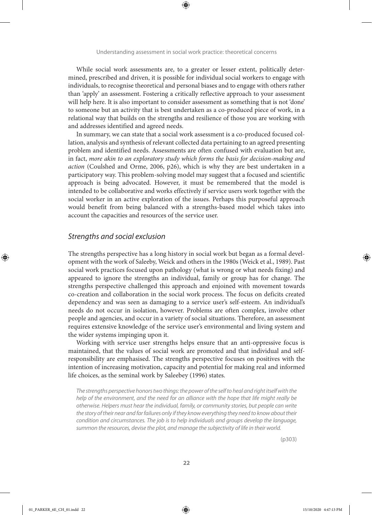While social work assessments are, to a greater or lesser extent, politically determined, prescribed and driven, it is possible for individual social workers to engage with individuals, to recognise theoretical and personal biases and to engage with others rather than 'apply' an assessment. Fostering a critically reflective approach to your assessment will help here. It is also important to consider assessment as something that is not 'done' to someone but an activity that is best undertaken as a co-produced piece of work, in a relational way that builds on the strengths and resilience of those you are working with and addresses identified and agreed needs.

In summary, we can state that a social work assessment is a co-produced focused collation, analysis and synthesis of relevant collected data pertaining to an agreed presenting problem and identified needs. Assessments are often confused with evaluation but are, in fact, *more akin to an exploratory study which forms the basis for decision-making and action* (Coulshed and Orme, 2006, p26), which is why they are best undertaken in a participatory way. This problem-solving model may suggest that a focused and scientific approach is being advocated. However, it must be remembered that the model is intended to be collaborative and works effectively if service users work together with the social worker in an active exploration of the issues. Perhaps this purposeful approach would benefit from being balanced with a strengths-based model which takes into account the capacities and resources of the service user.

### *Strengths and social exclusion*

The strengths perspective has a long history in social work but began as a formal development with the work of Saleeby, Weick and others in the 1980s (Weick et al., 1989). Past social work practices focused upon pathology (what is wrong or what needs fixing) and appeared to ignore the strengths an individual, family or group has for change. The strengths perspective challenged this approach and enjoined with movement towards co-creation and collaboration in the social work process. The focus on deficits created dependency and was seen as damaging to a service user's self-esteem. An individual's needs do not occur in isolation, however. Problems are often complex, involve other people and agencies, and occur in a variety of social situations. Therefore, an assessment requires extensive knowledge of the service user's environmental and living system and the wider systems impinging upon it.

Working with service user strengths helps ensure that an anti-oppressive focus is maintained, that the values of social work are promoted and that individual and selfresponsibility are emphasised. The strengths perspective focuses on positives with the intention of increasing motivation, capacity and potential for making real and informed life choices, as the seminal work by Saleebey (1996) states.

*The strengths perspective honors two things: the power of the self to heal and right itself with the help of the environment, and the need for an alliance with the hope that life might really be otherwise. Helpers must hear the individual, family, or community stories, but people can write the story of their near and far failures only if they know everything they need to know about their condition and circumstances. The job is to help individuals and groups develop the language, summon the resources, devise the plot, and manage the subjectivity of life in their world.*

(p303)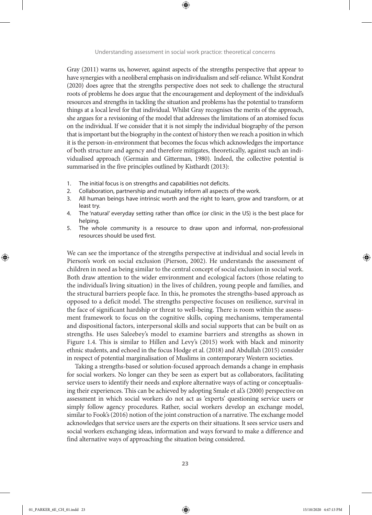Gray (2011) warns us, however, against aspects of the strengths perspective that appear to have synergies with a neoliberal emphasis on individualism and self-reliance. Whilst Kondrat (2020) does agree that the strengths perspective does not seek to challenge the structural roots of problems he does argue that the encouragement and deployment of the individual's resources and strengths in tackling the situation and problems has the potential to transform things at a local level for that individual. Whilst Gray recognises the merits of the approach, she argues for a revisioning of the model that addresses the limitations of an atomised focus on the individual. If we consider that it is not simply the individual biography of the person that is important but the biography in the context of history then we reach a position in which it is the person-in-environment that becomes the focus which acknowledges the importance of both structure and agency and therefore mitigates, theoretically, against such an individualised approach (Germain and Gitterman, 1980). Indeed, the collective potential is summarised in the five principles outlined by Kisthardt (2013):

- 1. The initial focus is on strengths and capabilities not deficits.
- 2. Collaboration, partnership and mutuality inform all aspects of the work.
- 3. All human beings have intrinsic worth and the right to learn, grow and transform, or at least try.
- 4. The 'natural' everyday setting rather than office (or clinic in the US) is the best place for helping.
- 5. The whole community is a resource to draw upon and informal, non-professional resources should be used first.

We can see the importance of the strengths perspective at individual and social levels in Pierson's work on social exclusion (Pierson, 2002). He understands the assessment of children in need as being similar to the central concept of social exclusion in social work. Both draw attention to the wider environment and ecological factors (those relating to the individual's living situation) in the lives of children, young people and families, and the structural barriers people face. In this, he promotes the strengths-based approach as opposed to a deficit model. The strengths perspective focuses on resilience, survival in the face of significant hardship or threat to well-being. There is room within the assessment framework to focus on the cognitive skills, coping mechanisms, temperamental and dispositional factors, interpersonal skills and social supports that can be built on as strengths. He uses Saleebey's model to examine barriers and strengths as shown in Figure 1.4. This is similar to Hillen and Levy's (2015) work with black and minority ethnic students, and echoed in the focus Hodge et al. (2018) and Abdullah (2015) consider in respect of potential marginalisation of Muslims in contemporary Western societies.

Taking a strengths-based or solution-focused approach demands a change in emphasis for social workers. No longer can they be seen as expert but as collaborators, facilitating service users to identify their needs and explore alternative ways of acting or conceptualising their experiences. This can be achieved by adopting Smale et al.'s (2000) perspective on assessment in which social workers do not act as 'experts' questioning service users or simply follow agency procedures. Rather, social workers develop an exchange model, similar to Fook's (2016) notion of the joint construction of a narrative. The exchange model acknowledges that service users are the experts on their situations. It sees service users and social workers exchanging ideas, information and ways forward to make a difference and find alternative ways of approaching the situation being considered.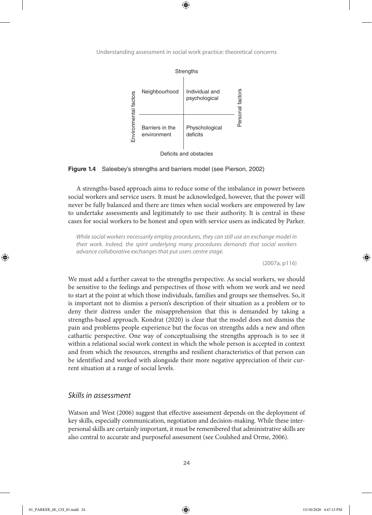

Deficits and obstacles



A strengths-based approach aims to reduce some of the imbalance in power between social workers and service users. It must be acknowledged, however, that the power will never be fully balanced and there are times when social workers are empowered by law to undertake assessments and legitimately to use their authority. It is central in these cases for social workers to be honest and open with service users as indicated by Parker.

*While social workers necessarily employ procedures, they can still use an exchange model in their work. Indeed, the spirit underlying many procedures demands that social workers advance collaborative exchanges that put users centre stage.*

(2007a, p116)

We must add a further caveat to the strengths perspective. As social workers, we should be sensitive to the feelings and perspectives of those with whom we work and we need to start at the point at which those individuals, families and groups see themselves. So, it is important not to dismiss a person's description of their situation as a problem or to deny their distress under the misapprehension that this is demanded by taking a strengths-based approach. Kondrat (2020) is clear that the model does not dismiss the pain and problems people experience but the focus on strengths adds a new and often cathartic perspective. One way of conceptualising the strengths approach is to see it within a relational social work context in which the whole person is accepted in context and from which the resources, strengths and resilient characteristics of that person can be identified and worked with alongside their more negative appreciation of their current situation at a range of social levels.

### *Skills in assessment*

Watson and West (2006) suggest that effective assessment depends on the deployment of key skills, especially communication, negotiation and decision-making. While these interpersonal skills are certainly important, it must be remembered that administrative skills are also central to accurate and purposeful assessment (see Coulshed and Orme, 2006).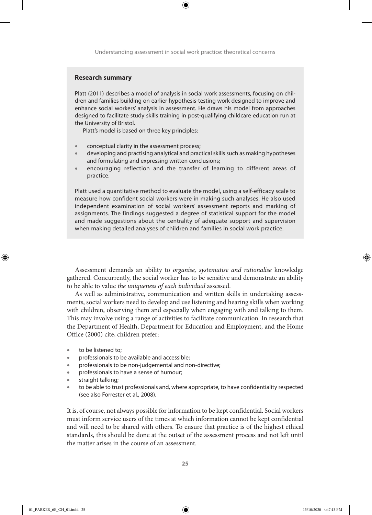### **Research summary**

Platt (2011) describes a model of analysis in social work assessments, focusing on children and families building on earlier hypothesis-testing work designed to improve and enhance social workers' analysis in assessment. He draws his model from approaches designed to facilitate study skills training in post-qualifying childcare education run at the University of Bristol.

Platt's model is based on three key principles:

- conceptual clarity in the assessment process;
- developing and practising analytical and practical skills such as making hypotheses and formulating and expressing written conclusions;
- encouraging reflection and the transfer of learning to different areas of practice.

Platt used a quantitative method to evaluate the model, using a self-efficacy scale to measure how confident social workers were in making such analyses. He also used independent examination of social workers' assessment reports and marking of assignments. The findings suggested a degree of statistical support for the model and made suggestions about the centrality of adequate support and supervision when making detailed analyses of children and families in social work practice.

Assessment demands an ability to *organise, systematise and rationalise* knowledge gathered. Concurrently, the social worker has to be sensitive and demonstrate an ability to be able to value *the uniqueness of each individual* assessed.

As well as administrative, communication and written skills in undertaking assessments, social workers need to develop and use listening and hearing skills when working with children, observing them and especially when engaging with and talking to them. This may involve using a range of activities to facilitate communication. In research that the Department of Health, Department for Education and Employment, and the Home Office (2000) cite, children prefer:

- to be listened to;
- professionals to be available and accessible;
- professionals to be non-judgemental and non-directive;
- professionals to have a sense of humour;
- straight talking;
- to be able to trust professionals and, where appropriate, to have confidentiality respected (see also Forrester et al., 2008).

It is, of course, not always possible for information to be kept confidential. Social workers must inform service users of the times at which information cannot be kept confidential and will need to be shared with others. To ensure that practice is of the highest ethical standards, this should be done at the outset of the assessment process and not left until the matter arises in the course of an assessment.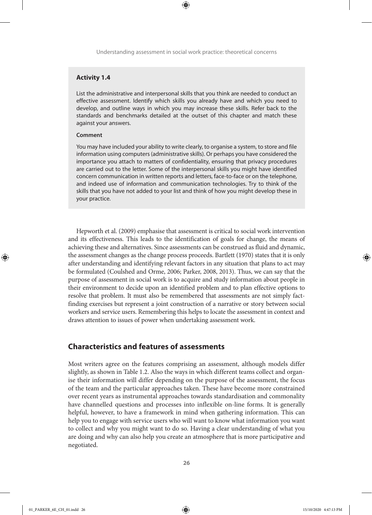### **Activity 1.4**

List the administrative and interpersonal skills that you think are needed to conduct an effective assessment. Identify which skills you already have and which you need to develop, and outline ways in which you may increase these skills. Refer back to the standards and benchmarks detailed at the outset of this chapter and match these against your answers.

### **Comment**

You may have included your ability to write clearly, to organise a system, to store and file information using computers (administrative skills). Or perhaps you have considered the importance you attach to matters of confidentiality, ensuring that privacy procedures are carried out to the letter. Some of the interpersonal skills you might have identified concern communication in written reports and letters, face-to-face or on the telephone, and indeed use of information and communication technologies. Try to think of the skills that you have not added to your list and think of how you might develop these in your practice.

Hepworth et al. (2009) emphasise that assessment is critical to social work intervention and its effectiveness. This leads to the identification of goals for change, the means of achieving these and alternatives. Since assessments can be construed as fluid and dynamic, the assessment changes as the change process proceeds. Bartlett (1970) states that it is only after understanding and identifying relevant factors in any situation that plans to act may be formulated (Coulshed and Orme, 2006; Parker, 2008, 2013). Thus, we can say that the purpose of assessment in social work is to acquire and study information about people in their environment to decide upon an identified problem and to plan effective options to resolve that problem. It must also be remembered that assessments are not simply factfinding exercises but represent a joint construction of a narrative or story between social workers and service users. Remembering this helps to locate the assessment in context and draws attention to issues of power when undertaking assessment work.

### **Characteristics and features of assessments**

Most writers agree on the features comprising an assessment, although models differ slightly, as shown in Table 1.2. Also the ways in which different teams collect and organise their information will differ depending on the purpose of the assessment, the focus of the team and the particular approaches taken. These have become more constrained over recent years as instrumental approaches towards standardisation and commonality have channelled questions and processes into inflexible on-line forms. It is generally helpful, however, to have a framework in mind when gathering information. This can help you to engage with service users who will want to know what information you want to collect and why you might want to do so. Having a clear understanding of what you are doing and why can also help you create an atmosphere that is more participative and negotiated.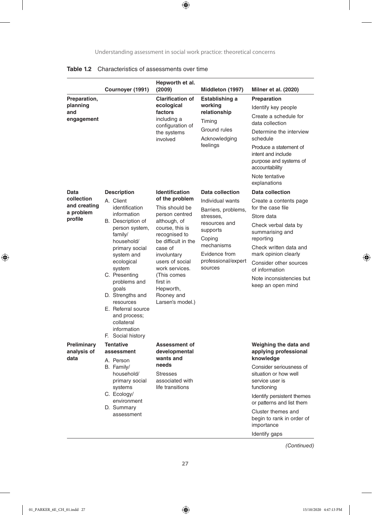|                                                            | Cournoyer (1991)                                                                                                                                                                                                                                                                                                                                            | Hepworth et al.<br>(2009)                                                                                                                                                                                                                                                                       | Middleton (1997)                                                                                                                                                                | <b>Milner et al. (2020)</b>                                                                                                                                                                                                                                                                    |
|------------------------------------------------------------|-------------------------------------------------------------------------------------------------------------------------------------------------------------------------------------------------------------------------------------------------------------------------------------------------------------------------------------------------------------|-------------------------------------------------------------------------------------------------------------------------------------------------------------------------------------------------------------------------------------------------------------------------------------------------|---------------------------------------------------------------------------------------------------------------------------------------------------------------------------------|------------------------------------------------------------------------------------------------------------------------------------------------------------------------------------------------------------------------------------------------------------------------------------------------|
| Preparation,<br>planning<br>and<br>engagement              |                                                                                                                                                                                                                                                                                                                                                             | <b>Clarification of</b><br>ecological<br>factors<br>including a<br>configuration of<br>the systems<br>involved                                                                                                                                                                                  | Establishing a<br>working<br>relationship<br>Timing<br>Ground rules<br>Acknowledging<br>feelings                                                                                | Preparation<br>Identify key people<br>Create a schedule for<br>data collection<br>Determine the interview<br>schedule<br>Produce a statement of<br>intent and include<br>purpose and systems of<br>accountability<br>Note tentative<br>explanations                                            |
| Data<br>collection<br>and creating<br>a problem<br>profile | <b>Description</b><br>A. Client<br>identification<br>information<br>B. Description of<br>person system,<br>family/<br>household/<br>primary social<br>system and<br>ecological<br>system<br>C. Presenting<br>problems and<br>goals<br>D. Strengths and<br>resources<br>E. Referral source<br>and process;<br>collateral<br>information<br>F. Social history | <b>Identification</b><br>of the problem<br>This should be<br>person centred<br>although, of<br>course, this is<br>recognised to<br>be difficult in the<br>case of<br>involuntary<br>users of social<br>work services.<br>(This comes<br>first in<br>Hepworth,<br>Rooney and<br>Larsen's model.) | Data collection<br>Individual wants<br>Barriers, problems,<br>stresses.<br>resources and<br>supports<br>Coping<br>mechanisms<br>Evidence from<br>professional/expert<br>sources | <b>Data collection</b><br>Create a contents page<br>for the case file<br>Store data<br>Check verbal data by<br>summarising and<br>reporting<br>Check written data and<br>mark opinion clearly<br>Consider other sources<br>of information<br>Note inconsistencies but<br>keep an open mind     |
| Preliminary<br>analysis of<br>data                         | <b>Tentative</b><br>assessment<br>A. Person<br>B. Family/<br>household/<br>primary social<br>systems<br>C. Ecology/<br>environment<br>D. Summary<br>assessment                                                                                                                                                                                              | <b>Assessment of</b><br>developmental<br>wants and<br>needs<br><b>Stresses</b><br>associated with<br>life transitions                                                                                                                                                                           |                                                                                                                                                                                 | Weighing the data and<br>applying professional<br>knowledge<br>Consider seriousness of<br>situation or how well<br>service user is<br>functioning<br>Identify persistent themes<br>or patterns and list them<br>Cluster themes and<br>begin to rank in order of<br>importance<br>Identify gaps |

### **Table 1.2** Characteristics of assessments over time

*(Continued)*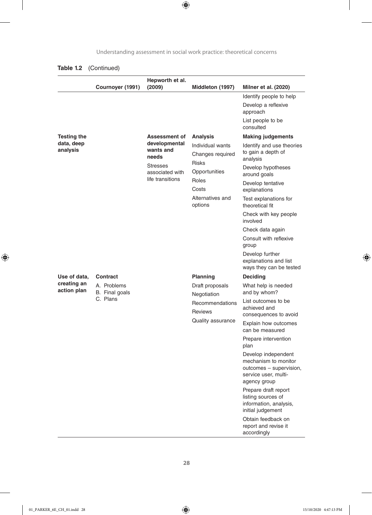|                                              | Cournoyer (1991)                                      | Hepworth et al.<br>(2009)                                                                                             | Middleton (1997)                                                                                                                          | <b>Milner et al. (2020)</b>                                                                                                                                                                                                                                                                                                                                                                                                                                            |
|----------------------------------------------|-------------------------------------------------------|-----------------------------------------------------------------------------------------------------------------------|-------------------------------------------------------------------------------------------------------------------------------------------|------------------------------------------------------------------------------------------------------------------------------------------------------------------------------------------------------------------------------------------------------------------------------------------------------------------------------------------------------------------------------------------------------------------------------------------------------------------------|
|                                              |                                                       |                                                                                                                       |                                                                                                                                           | Identify people to help<br>Develop a reflexive<br>approach<br>List people to be<br>consulted                                                                                                                                                                                                                                                                                                                                                                           |
| <b>Testing the</b><br>data, deep<br>analysis |                                                       | <b>Assessment of</b><br>developmental<br>wants and<br>needs<br><b>Stresses</b><br>associated with<br>life transitions | <b>Analysis</b><br>Individual wants<br>Changes required<br><b>Risks</b><br>Opportunities<br>Roles<br>Costs<br>Alternatives and<br>options | <b>Making judgements</b><br>Identify and use theories<br>to gain a depth of<br>analysis<br>Develop hypotheses<br>around goals<br>Develop tentative<br>explanations<br>Test explanations for<br>theoretical fit<br>Check with key people<br>involved<br>Check data again<br>Consult with reflexive<br>group<br>Develop further<br>explanations and list<br>ways they can be tested                                                                                      |
| Use of data,<br>creating an<br>action plan   | Contract<br>A. Problems<br>B. Final goals<br>C. Plans |                                                                                                                       | Planning<br>Draft proposals<br>Negotiation<br>Recommendations<br><b>Reviews</b><br>Quality assurance                                      | Deciding<br>What help is needed<br>and by whom?<br>List outcomes to be<br>achieved and<br>consequences to avoid<br>Explain how outcomes<br>can be measured<br>Prepare intervention<br>plan<br>Develop independent<br>mechanism to monitor<br>outcomes - supervision,<br>service user, multi-<br>agency group<br>Prepare draft report<br>listing sources of<br>information, analysis,<br>initial judgement<br>Obtain feedback on<br>report and revise it<br>accordingly |

### **Table 1.2** (Continued)